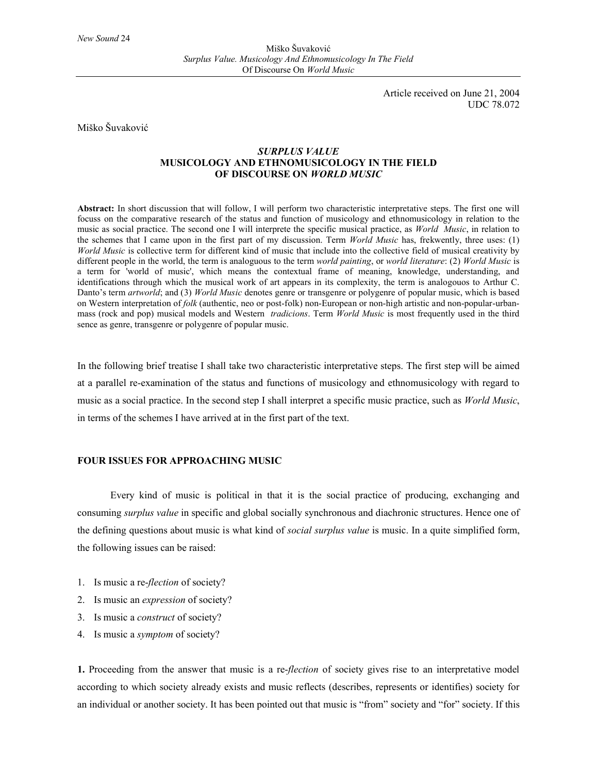Miško Šuvaković *Surplus Value. Musicology And Ethnomusicology In The Field* Of Discourse On *World Music*

> Article received on June 21, 2004 UDC 78.072

## Miško Šuvaković

# *SURPLUS VALUE* **MUSICOLOGY AND ETHNOMUSICOLOGY IN THE FIELD OF DISCOURSE ON** *WORLD MUSIC*

**Abstract:** In short discussion that will follow, I will perform two characteristic interpretative steps. The first one will focuss on the comparative research of the status and function of musicology and ethnomusicology in relation to the music as social practice. The second one I will interprete the specific musical practice, as *World Music*, in relation to the schemes that I came upon in the first part of my discussion. Term *World Music* has, frekwently, three uses: (1) *World Music* is collective term for different kind of music that include into the collective field of musical creativity by different people in the world, the term is analoguous to the term *world painting*, or *world literature*: (2) *World Music* is a term for 'world of music', which means the contextual frame of meaning, knowledge, understanding, and identifications through which the musical work of art appears in its complexity, the term is analogouos to Arthur C. Danto's term *artworld*; and (3) *World Music* denotes genre or transgenre or polygenre of popular music, which is based on Western interpretation of *folk* (authentic, neo or post-folk) non-European or non-high artistic and non-popular-urbanmass (rock and pop) musical models and Western *tradicions*. Term *World Music* is most frequently used in the third sence as genre, transgenre or polygenre of popular music.

In the following brief treatise I shall take two characteristic interpretative steps. The first step will be aimed at a parallel re-examination of the status and functions of musicology and ethnomusicology with regard to music as a social practice. In the second step I shall interpret a specific music practice, such as *World Music*, in terms of the schemes I have arrived at in the first part of the text.

# **FOUR ISSUES FOR APPROACHING MUSIC**

Every kind of music is political in that it is the social practice of producing, exchanging and consuming *surplus value* in specific and global socially synchronous and diachronic structures. Hence one of the defining questions about music is what kind of *social surplus value* is music. In a quite simplified form, the following issues can be raised:

- 1. Is music a re-*flection* of society?
- 2. Is music an *expression* of society?
- 3. Is music a *construct* of society?
- 4. Is music a *symptom* of society?

**1.** Proceeding from the answer that music is a re-*flection* of society gives rise to an interpretative model according to which society already exists and music reflects (describes, represents or identifies) society for an individual or another society. It has been pointed out that music is "from" society and "for" society. If this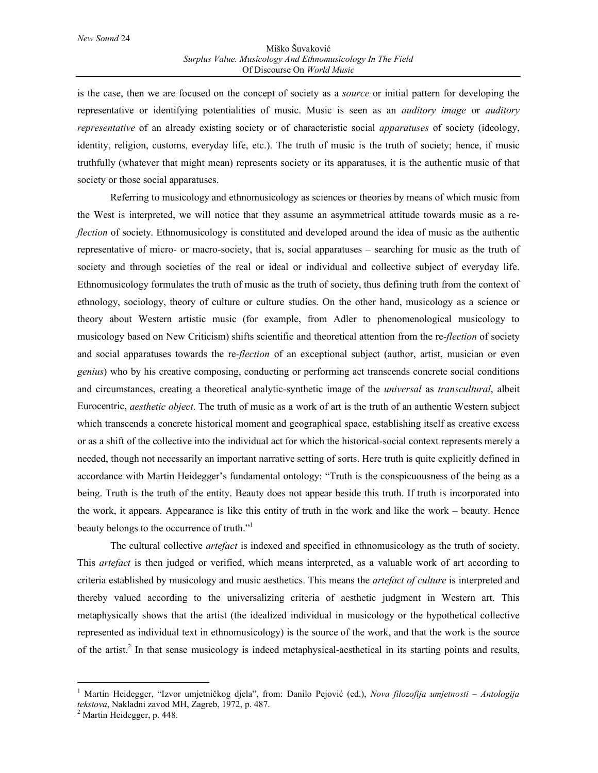is the case, then we are focused on the concept of society as a *source* or initial pattern for developing the representative or identifying potentialities of music. Music is seen as an *auditory image* or *auditory representative* of an already existing society or of characteristic social *apparatuses* of society (ideology, identity, religion, customs, everyday life, etc.). The truth of music is the truth of society; hence, if music truthfully (whatever that might mean) represents society or its apparatuses, it is the authentic music of that society or those social apparatuses.

Referring to musicology and ethnomusicology as sciences or theories by means of which music from the West is interpreted, we will notice that they assume an asymmetrical attitude towards music as a re*flection* of society. Ethnomusicology is constituted and developed around the idea of music as the authentic representative of micro- or macro-society, that is, social apparatuses – searching for music as the truth of society and through societies of the real or ideal or individual and collective subject of everyday life. Ethnomusicology formulates the truth of music as the truth of society, thus defining truth from the context of ethnology, sociology, theory of culture or culture studies. On the other hand, musicology as a science or theory about Western artistic music (for example, from Adler to phenomenological musicology to musicology based on New Criticism) shifts scientific and theoretical attention from the re-*flection* of society and social apparatuses towards the re-*flection* of an exceptional subject (author, artist, musician or even *genius*) who by his creative composing, conducting or performing act transcends concrete social conditions and circumstances, creating a theoretical analytic-synthetic image of the *universal* as *transcultural*, albeit Eurocentric, *aesthetic object*. The truth of music as a work of art is the truth of an authentic Western subject which transcends a concrete historical moment and geographical space, establishing itself as creative excess or as a shift of the collective into the individual act for which the historical-social context represents merely a needed, though not necessarily an important narrative setting of sorts. Here truth is quite explicitly defined in accordance with Martin Heidegger's fundamental ontology: "Truth is the conspicuousness of the being as a being. Truth is the truth of the entity. Beauty does not appear beside this truth. If truth is incorporated into the work, it appears. Appearance is like this entity of truth in the work and like the work – beauty. Hence beauty belongs to the occurrence of truth."<sup>1</sup>

The cultural collective *artefact* is indexed and specified in ethnomusicology as the truth of society. This *artefact* is then judged or verified, which means interpreted, as a valuable work of art according to criteria established by musicology and music aesthetics. This means the *artefact of culture* is interpreted and thereby valued according to the universalizing criteria of aesthetic judgment in Western art. This metaphysically shows that the artist (the idealized individual in musicology or the hypothetical collective represented as individual text in ethnomusicology) is the source of the work, and that the work is the source of the artist.<sup>2</sup> In that sense musicology is indeed metaphysical-aesthetical in its starting points and results,

 $\overline{a}$ 

<sup>1</sup> Martin Heidegger, "Izvor umjetničkog djela", from: Danilo Pejović (ed.), *Nova filozofija umjetnosti – Antologija tekstova*, Nakladni zavod MH, Zagreb, 1972, p. 487. <sup>2</sup>

 $<sup>2</sup>$  Martin Heidegger, p. 448.</sup>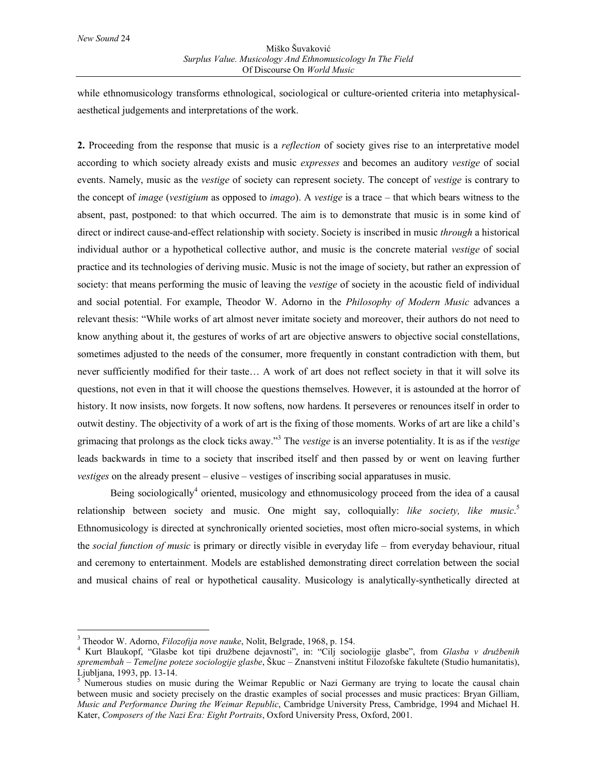### Miško Šuvaković *Surplus Value. Musicology And Ethnomusicology In The Field* Of Discourse On *World Music*

while ethnomusicology transforms ethnological, sociological or culture-oriented criteria into metaphysicalaesthetical judgements and interpretations of the work.

**2.** Proceeding from the response that music is a *reflection* of society gives rise to an interpretative model according to which society already exists and music *expresses* and becomes an auditory *vestige* of social events. Namely, music as the *vestige* of society can represent society. The concept of *vestige* is contrary to the concept of *image* (*vestigium* as opposed to *imago*). A *vestige* is a trace – that which bears witness to the absent, past, postponed: to that which occurred. The aim is to demonstrate that music is in some kind of direct or indirect cause-and-effect relationship with society. Society is inscribed in music *through* a historical individual author or a hypothetical collective author, and music is the concrete material *vestige* of social practice and its technologies of deriving music. Music is not the image of society, but rather an expression of society: that means performing the music of leaving the *vestige* of society in the acoustic field of individual and social potential. For example, Theodor W. Adorno in the *Philosophy of Modern Music* advances a relevant thesis: "While works of art almost never imitate society and moreover, their authors do not need to know anything about it, the gestures of works of art are objective answers to objective social constellations, sometimes adjusted to the needs of the consumer, more frequently in constant contradiction with them, but never sufficiently modified for their taste… A work of art does not reflect society in that it will solve its questions, not even in that it will choose the questions themselves. However, it is astounded at the horror of history. It now insists, now forgets. It now softens, now hardens. It perseveres or renounces itself in order to outwit destiny. The objectivity of a work of art is the fixing of those moments. Works of art are like a child's grimacing that prolongs as the clock ticks away."<sup>3</sup> The *vestige* is an inverse potentiality. It is as if the *vestige* leads backwards in time to a society that inscribed itself and then passed by or went on leaving further *vestiges* on the already present – elusive – vestiges of inscribing social apparatuses in music.

Being sociologically<sup>4</sup> oriented, musicology and ethnomusicology proceed from the idea of a causal relationship between society and music. One might say, colloquially: *like society, like music*. 5 Ethnomusicology is directed at synchronically oriented societies, most often micro-social systems, in which the *social function of music* is primary or directly visible in everyday life – from everyday behaviour, ritual and ceremony to entertainment. Models are established demonstrating direct correlation between the social and musical chains of real or hypothetical causality. Musicology is analytically-synthetically directed at

 $\overline{a}$ 

<sup>&</sup>lt;sup>3</sup> Theodor W. Adorno, *Filozofija nove nauke*, Nolit, Belgrade, 1968, p. 154.<br><sup>4</sup> Kurt, Blaukonf, "Clashe, kot tipi, družbane, dejevnosti", in: "Cili, soci

Kurt Blaukopf, "Glasbe kot tipi družbene dejavnosti", in: "Cilj sociologije glasbe", from *Glasba v družbenih spremembah – Temeljne poteze sociologije glasbe*, Škuc – Znanstveni inštitut Filozofske fakultete (Studio humanitatis), Ljubljana, 1993, pp. 13-14.

<sup>&</sup>lt;sup>5</sup> Numerous studies on music during the Weimar Republic or Nazi Germany are trying to locate the causal chain between music and society precisely on the drastic examples of social processes and music practices: Bryan Gilliam, *Music and Performance During the Weimar Republic*, Cambridge University Press, Cambridge, 1994 and Michael H. Kater, *Composers of the Nazi Era: Eight Portraits*, Oxford University Press, Oxford, 2001.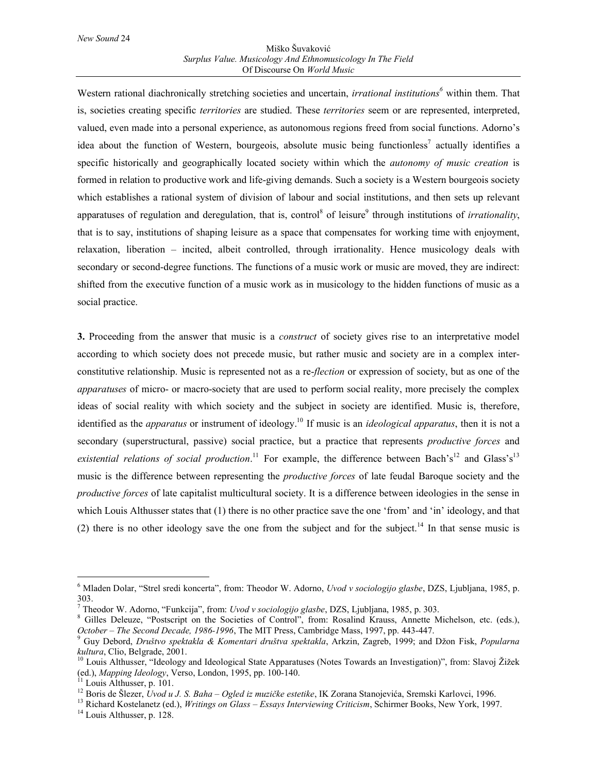Western rational diachronically stretching societies and uncertain, *irrational institutions*<sup>6</sup> within them. That is, societies creating specific *territories* are studied. These *territories* seem or are represented, interpreted, valued, even made into a personal experience, as autonomous regions freed from social functions. Adorno's idea about the function of Western, bourgeois, absolute music being functionless<sup>7</sup> actually identifies a specific historically and geographically located society within which the *autonomy of music creation* is formed in relation to productive work and life-giving demands. Such a society is a Western bourgeois society which establishes a rational system of division of labour and social institutions, and then sets up relevant apparatuses of regulation and deregulation, that is, control<sup>8</sup> of leisure<sup>9</sup> through institutions of *irrationality*, that is to say, institutions of shaping leisure as a space that compensates for working time with enjoyment, relaxation, liberation – incited, albeit controlled, through irrationality. Hence musicology deals with secondary or second-degree functions. The functions of a music work or music are moved, they are indirect: shifted from the executive function of a music work as in musicology to the hidden functions of music as a social practice.

**3.** Proceeding from the answer that music is a *construct* of society gives rise to an interpretative model according to which society does not precede music, but rather music and society are in a complex interconstitutive relationship. Music is represented not as a re-*flection* or expression of society, but as one of the *apparatuses* of micro- or macro-society that are used to perform social reality, more precisely the complex ideas of social reality with which society and the subject in society are identified. Music is, therefore, identified as the *apparatus* or instrument of ideology.<sup>10</sup> If music is an *ideological apparatus*, then it is not a secondary (superstructural, passive) social practice, but a practice that represents *productive forces* and existential relations of social production.<sup>11</sup> For example, the difference between Bach's<sup>12</sup> and Glass's<sup>13</sup> music is the difference between representing the *productive forces* of late feudal Baroque society and the *productive forces* of late capitalist multicultural society. It is a difference between ideologies in the sense in which Louis Althusser states that (1) there is no other practice save the one 'from' and 'in' ideology, and that (2) there is no other ideology save the one from the subject and for the subject.<sup>14</sup> In that sense music is

<sup>6</sup> Mladen Dolar, "Strel sredi koncerta", from: Theodor W. Adorno, *Uvod v sociologijo glasbe*, DZS, Ljubljana, 1985, p. 303.

<sup>7</sup> Theodor W. Adorno, "Funkcija", from: *Uvod v sociologijo glasbe*, DZS, Ljubljana, 1985, p. 303. <sup>8</sup>

Gilles Deleuze, "Postscript on the Societies of Control", from: Rosalind Krauss, Annette Michelson, etc. (eds.), *October – The Second Decade, 1986-1996*, The MIT Press, Cambridge Mass, 1997, pp. 443-447. <sup>9</sup>

Guy Debord, *Društvo spektakla & Komentari društva spektakla*, Arkzin, Zagreb, 1999; and Džon Fisk, *Popularna kultura*, Clio, Belgrade, 2001.<br><sup>10</sup> Louis Althusser, "Ideology and Ideological State Apparatuses (Notes Towards an Investigation)", from: Slavoj Žižek

<sup>(</sup>ed.), *Mapping Ideology*, Verso, London, 1995, pp. 100-140.<br><sup>11</sup> Louis Althusser, p. 101.<br><sup>12</sup> Boris de Šlezer, *Uvod u J. S. Baha – Ogled iz muzičke estetike*, IK Zorana Stanojevića, Sremski Karlovci, 1996.

<sup>&</sup>lt;sup>13</sup> Richard Kostelanetz (ed.), *Writings on Glass – Essays Interviewing Criticism*, Schirmer Books, New York, 1997.<br><sup>14</sup> Louis Althusser, p. 128.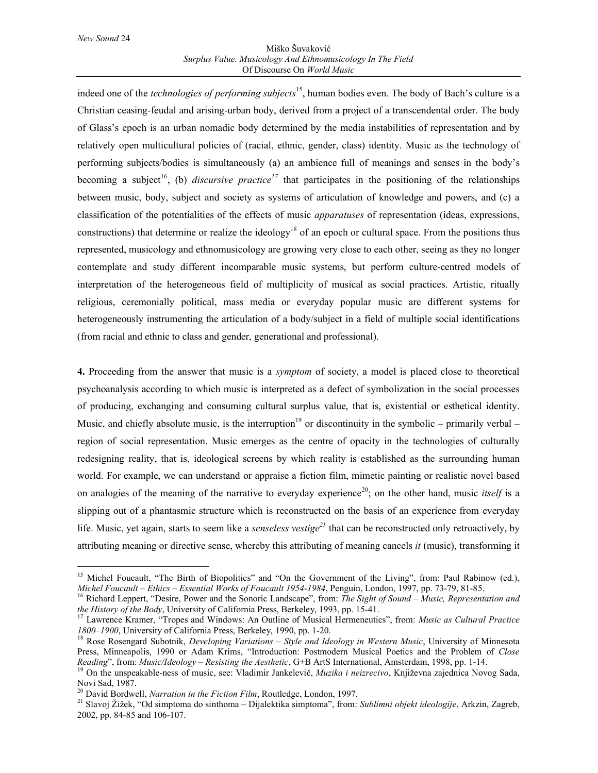$\overline{\phantom{a}}$ 

#### Miško Šuvaković *Surplus Value. Musicology And Ethnomusicology In The Field* Of Discourse On *World Music*

indeed one of the *technologies of performing subjects*15, human bodies even. The body of Bach's culture is a Christian ceasing-feudal and arising-urban body, derived from a project of a transcendental order. The body of Glass's epoch is an urban nomadic body determined by the media instabilities of representation and by relatively open multicultural policies of (racial, ethnic, gender, class) identity. Music as the technology of performing subjects/bodies is simultaneously (a) an ambience full of meanings and senses in the body's becoming a subject<sup>16</sup>, (b) *discursive practice*<sup>17</sup> that participates in the positioning of the relationships between music, body, subject and society as systems of articulation of knowledge and powers, and (c) a classification of the potentialities of the effects of music *apparatuses* of representation (ideas, expressions, constructions) that determine or realize the ideology<sup>18</sup> of an epoch or cultural space. From the positions thus represented, musicology and ethnomusicology are growing very close to each other, seeing as they no longer contemplate and study different incomparable music systems, but perform culture-centred models of interpretation of the heterogeneous field of multiplicity of musical as social practices. Artistic, ritually religious, ceremonially political, mass media or everyday popular music are different systems for heterogeneously instrumenting the articulation of a body/subject in a field of multiple social identifications (from racial and ethnic to class and gender, generational and professional).

**4.** Proceeding from the answer that music is a *symptom* of society, a model is placed close to theoretical psychoanalysis according to which music is interpreted as a defect of symbolization in the social processes of producing, exchanging and consuming cultural surplus value, that is, existential or esthetical identity. Music, and chiefly absolute music, is the interruption<sup>19</sup> or discontinuity in the symbolic – primarily verbal – region of social representation. Music emerges as the centre of opacity in the technologies of culturally redesigning reality, that is, ideological screens by which reality is established as the surrounding human world. For example, we can understand or appraise a fiction film, mimetic painting or realistic novel based on analogies of the meaning of the narrative to everyday experience<sup>20</sup>; on the other hand, music *itself* is a slipping out of a phantasmic structure which is reconstructed on the basis of an experience from everyday life. Music, yet again, starts to seem like a *senseless vestige<sup>21</sup>* that can be reconstructed only retroactively, by attributing meaning or directive sense, whereby this attributing of meaning cancels *it* (music), transforming it

<sup>&</sup>lt;sup>15</sup> Michel Foucault, "The Birth of Biopolitics" and "On the Government of the Living", from: Paul Rabinow (ed.),

Michel Foucault – Ethics – Essential Works of Foucault 1954-1984, Penguin, London, 1997, pp. 73-79, 81-85.<br><sup>16</sup> Richard Leppert, "Desire, Power and the Sonoric Landscape", from: *The Sight of Sound – Music, Representation* 

Lawrence Kramer, "Tropes and Windows: An Outline of Musical Hermeneutics", from: *Music as Cultural Practice 1800–1900*, University of California Press, Berkeley, 1990, pp. 1-20.<br><sup>18</sup> Rose Rosengard Subotnik, *Developing Variations – Style and Ideology in Western Music*, University of Minnesota

Press, Minneapolis, 1990 or Adam Krims, "Introduction: Postmodern Musical Poetics and the Problem of *Close* 

Reading", from: Music/Ideology – Resisting the Aesthetic, G+B ArtS International, Amsterdam, 1998, pp. 1-14.<br><sup>19</sup> On the unspeakable-ness of music, see: Vladimir Jankelevič, *Muzika i neizrecivo*, Književna zajednica Novog Novi Sad, 1987.<br><sup>20</sup> David Bordwell, *Narration in the Fiction Film*, Routledge, London, 1997.

<sup>&</sup>lt;sup>21</sup> Slavoj Žižek, "Od simptoma do sinthoma – Dijalektika simptoma", from: *Sublimni objekt ideologije*, Arkzin, Zagreb, 2002, pp. 84-85 and 106-107.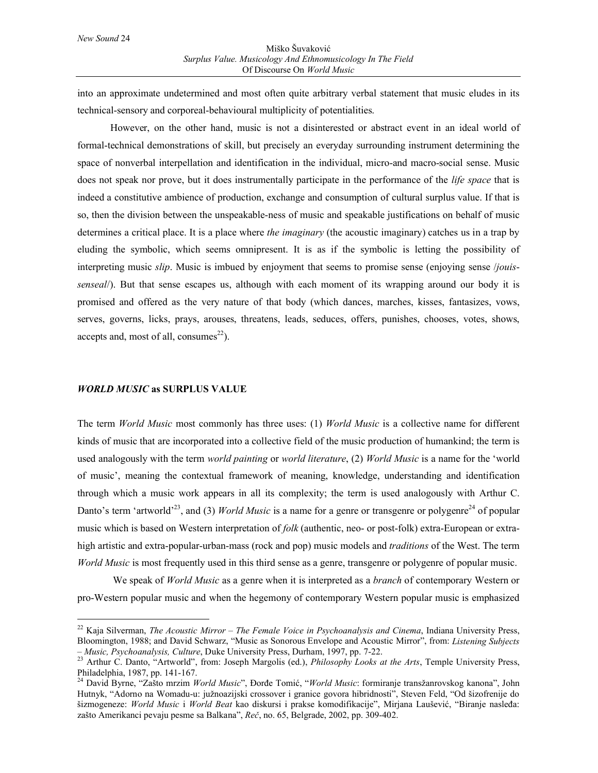into an approximate undetermined and most often quite arbitrary verbal statement that music eludes in its technical-sensory and corporeal-behavioural multiplicity of potentialities.

However, on the other hand, music is not a disinterested or abstract event in an ideal world of formal-technical demonstrations of skill, but precisely an everyday surrounding instrument determining the space of nonverbal interpellation and identification in the individual, micro-and macro-social sense. Music does not speak nor prove, but it does instrumentally participate in the performance of the *life space* that is indeed a constitutive ambience of production, exchange and consumption of cultural surplus value. If that is so, then the division between the unspeakable-ness of music and speakable justifications on behalf of music determines a critical place. It is a place where *the imaginary* (the acoustic imaginary) catches us in a trap by eluding the symbolic, which seems omnipresent. It is as if the symbolic is letting the possibility of interpreting music *slip*. Music is imbued by enjoyment that seems to promise sense (enjoying sense /*jouissenseal*/). But that sense escapes us, although with each moment of its wrapping around our body it is promised and offered as the very nature of that body (which dances, marches, kisses, fantasizes, vows, serves, governs, licks, prays, arouses, threatens, leads, seduces, offers, punishes, chooses, votes, shows, accepts and, most of all, consumes<sup>22</sup>).

# *WORLD MUSIC* **as SURPLUS VALUE**

 $\overline{\phantom{a}}$ 

The term *World Music* most commonly has three uses: (1) *World Music* is a collective name for different kinds of music that are incorporated into a collective field of the music production of humankind; the term is used analogously with the term *world painting* or *world literature*, (2) *World Music* is a name for the 'world of music', meaning the contextual framework of meaning, knowledge, understanding and identification through which a music work appears in all its complexity; the term is used analogously with Arthur C. Danto's term 'artworld'<sup>23</sup>, and (3) *World Music* is a name for a genre or transgenre or polygenre<sup>24</sup> of popular music which is based on Western interpretation of *folk* (authentic, neo- or post-folk) extra-European or extrahigh artistic and extra-popular-urban-mass (rock and pop) music models and *traditions* of the West. The term *World Music* is most frequently used in this third sense as a genre, transgenre or polygenre of popular music.

 We speak of *World Music* as a genre when it is interpreted as a *branch* of contemporary Western or pro-Western popular music and when the hegemony of contemporary Western popular music is emphasized

<sup>22</sup> Kaja Silverman, *The Acoustic Mirror – The Female Voice in Psychoanalysis and Cinema*, Indiana University Press, Bloomington, 1988; and David Schwarz, "Music as Sonorous Envelope and Acoustic Mirror", from: *Listening Subjects* 

*<sup>–</sup> Music, Psychoanalysis, Culture*, Duke University Press, Durham, 1997, pp. 7-22. 23 Arthur C. Danto, "Artworld", from: Joseph Margolis (ed.), *Philosophy Looks at the Arts*, Temple University Press, Philadelphia, 1987, pp. 141-167.

<sup>24</sup> David Byrne, "Zašto mrzim *World Music*", Đorđe Tomić, "*World Music*: formiranje transžanrovskog kanona", John Hutnyk, "Adorno na Womadu-u: južnoazijski crossover i granice govora hibridnosti", Steven Feld, "Od šizofrenije do šizmogeneze: *World Music* i *World Beat* kao diskursi i prakse komodifikacije", Mirjana Laušević, "Biranje nasleđa: zašto Amerikanci pevaju pesme sa Balkana", *Reč*, no. 65, Belgrade, 2002, pp. 309-402.